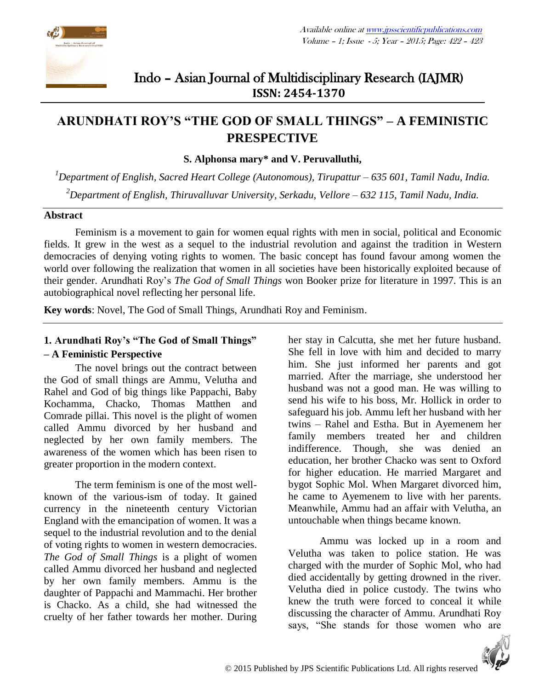

## Indo – Asian Journal of Multidisciplinary Research (IAJMR) **ISSN: 2454-1370**

# **ARUNDHATI ROY'S "THE GOD OF SMALL THINGS" – A FEMINISTIC PRESPECTIVE**

#### **S. Alphonsa mary\* and V. Peruvalluthi,**

*<sup>1</sup>Department of English, Sacred Heart College (Autonomous), Tirupattur – 635 601, Tamil Nadu, India. <sup>2</sup>Department of English, Thiruvalluvar University, Serkadu, Vellore – 632 115, Tamil Nadu, India.*

#### **Abstract**

Feminism is a movement to gain for women equal rights with men in social, political and Economic fields. It grew in the west as a sequel to the industrial revolution and against the tradition in Western democracies of denying voting rights to women. The basic concept has found favour among women the world over following the realization that women in all societies have been historically exploited because of their gender. Arundhati Roy's *The God of Small Things* won Booker prize for literature in 1997. This is an autobiographical novel reflecting her personal life.

**Key words**: Novel, The God of Small Things, Arundhati Roy and Feminism.

## **1. Arundhati Roy's "The God of Small Things"**

### **– A Feministic Perspective**

The novel brings out the contract between the God of small things are Ammu, Velutha and Rahel and God of big things like Pappachi, Baby Kochamma, Chacko, Thomas Matthen and Comrade pillai. This novel is the plight of women called Ammu divorced by her husband and neglected by her own family members. The awareness of the women which has been risen to greater proportion in the modern context.

The term feminism is one of the most wellknown of the various-ism of today. It gained currency in the nineteenth century Victorian England with the emancipation of women. It was a sequel to the industrial revolution and to the denial of voting rights to women in western democracies. *The God of Small Things* is a plight of women called Ammu divorced her husband and neglected by her own family members. Ammu is the daughter of Pappachi and Mammachi. Her brother is Chacko. As a child, she had witnessed the cruelty of her father towards her mother. During her stay in Calcutta, she met her future husband. She fell in love with him and decided to marry him. She just informed her parents and got married. After the marriage, she understood her husband was not a good man. He was willing to send his wife to his boss, Mr. Hollick in order to safeguard his job. Ammu left her husband with her twins – Rahel and Estha. But in Ayemenem her family members treated her and children indifference. Though, she was denied an education, her brother Chacko was sent to Oxford for higher education. He married Margaret and bygot Sophic Mol. When Margaret divorced him, he came to Ayemenem to live with her parents. Meanwhile, Ammu had an affair with Velutha, an untouchable when things became known.

Ammu was locked up in a room and Velutha was taken to police station. He was charged with the murder of Sophic Mol, who had died accidentally by getting drowned in the river. Velutha died in police custody. The twins who knew the truth were forced to conceal it while discussing the character of Ammu. Arundhati Roy says, "She stands for those women who are